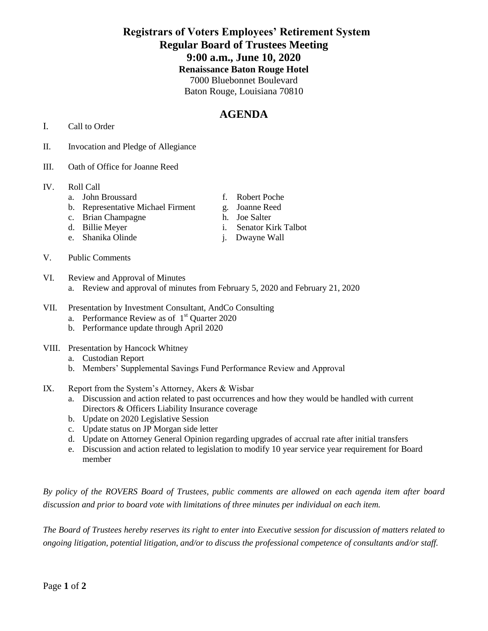## **Registrars of Voters Employees' Retirement System Regular Board of Trustees Meeting 9:00 a.m., June 10, 2020 Renaissance Baton Rouge Hotel** 7000 Bluebonnet Boulevard Baton Rouge, Louisiana 70810

## **AGENDA**

- I. Call to Order
- II. Invocation and Pledge of Allegiance
- III. Oath of Office for Joanne Reed
- IV. Roll Call
	- a. John Broussard f. Robert Poche
	- b. Representative Michael Firment g. Joanne Reed
	- c. Brian Champagne h. Joe Salter<br>d. Billie Meyer i. Senator Ki
	-
	- e. Shanika Olinde i. Dwayne Wall
- V. Public Comments
- VI. Review and Approval of Minutes a. Review and approval of minutes from February 5, 2020 and February 21, 2020
- VII. Presentation by Investment Consultant, AndCo Consulting
	- a. Performance Review as of  $1<sup>st</sup>$  Quarter 2020
	- b. Performance update through April 2020
- VIII. Presentation by Hancock Whitney
	- a. Custodian Report
	- b. Members' Supplemental Savings Fund Performance Review and Approval
- IX. Report from the System's Attorney, Akers & Wisbar
	- a. Discussion and action related to past occurrences and how they would be handled with current Directors & Officers Liability Insurance coverage
	- b. Update on 2020 Legislative Session
	- c. Update status on JP Morgan side letter
	- d. Update on Attorney General Opinion regarding upgrades of accrual rate after initial transfers
	- e. Discussion and action related to legislation to modify 10 year service year requirement for Board member

*By policy of the ROVERS Board of Trustees, public comments are allowed on each agenda item after board discussion and prior to board vote with limitations of three minutes per individual on each item.*

*The Board of Trustees hereby reserves its right to enter into Executive session for discussion of matters related to ongoing litigation, potential litigation, and/or to discuss the professional competence of consultants and/or staff.*

- -
	-
- i. Senator Kirk Talbot
-